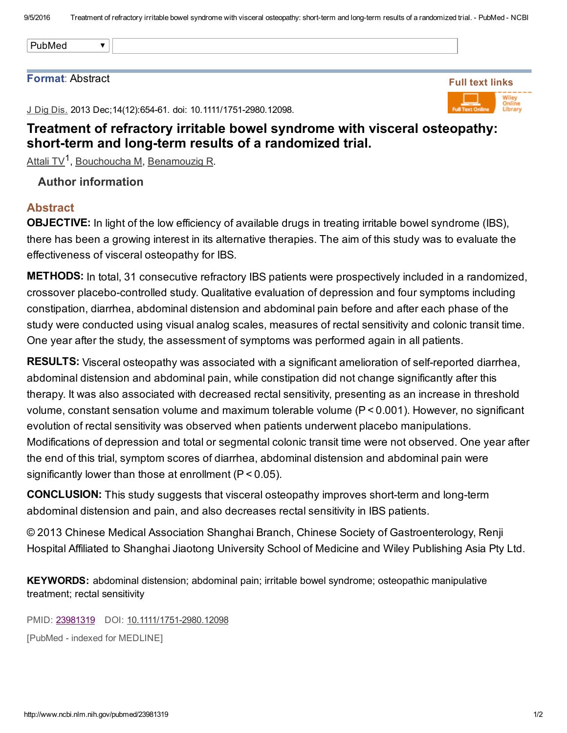PubMed

#### Format: Abstract

Full text links

J Dig Dis. 2013 Dec; 14(12): 654-61. doi: 10.1111/1751-2980.12098.

# Treatment of refractory irritable bowel syndrome with visceral osteopathy: short-term and long-term results of a randomized trial.

<u>[Attali](http://www.ncbi.nlm.nih.gov/pubmed/?term=Attali%20TV%5BAuthor%5D&cauthor=true&cauthor_uid=23981319) TV<sup>1</sup>, [Bouchoucha](http://www.ncbi.nlm.nih.gov/pubmed/?term=Bouchoucha%20M%5BAuthor%5D&cauthor=true&cauthor_uid=23981319) M, [Benamouzig](http://www.ncbi.nlm.nih.gov/pubmed/?term=Benamouzig%20R%5BAuthor%5D&cauthor=true&cauthor_uid=23981319) R</u>.

## Author information

 $\overline{\mathbf{v}}$ 

#### Abstract

OBJECTIVE: In light of the low efficiency of available drugs in treating irritable bowel syndrome (IBS), there has been a growing interest in its alternative therapies. The aim of this study was to evaluate the effectiveness of visceral osteopathy for IBS.

METHODS: In total, 31 consecutive refractory IBS patients were prospectively included in a randomized, crossover placebo-controlled study. Qualitative evaluation of depression and four symptoms including constipation, diarrhea, abdominal distension and abdominal pain before and after each phase of the study were conducted using visual analog scales, measures of rectal sensitivity and colonic transit time. One year after the study, the assessment of symptoms was performed again in all patients.

RESULTS: Visceral osteopathy was associated with a significant amelioration of self-reported diarrhea, abdominal distension and abdominal pain, while constipation did not change significantly after this therapy. It was also associated with decreased rectal sensitivity, presenting as an increase in threshold volume, constant sensation volume and maximum tolerable volume (P < 0.001). However, no significant evolution of rectal sensitivity was observed when patients underwent placebo manipulations. Modifications of depression and total or segmental colonic transit time were not observed. One year after the end of this trial, symptom scores of diarrhea, abdominal distension and abdominal pain were significantly lower than those at enrollment (P < 0.05).

**CONCLUSION:** This study suggests that visceral osteopathy improves short-term and long-term abdominal distension and pain, and also decreases rectal sensitivity in IBS patients.

© 2013 Chinese Medical Association Shanghai Branch, Chinese Society of Gastroenterology, Renji Hospital Affiliated to Shanghai Jiaotong University School of Medicine and Wiley Publishing Asia Pty Ltd.

KEYWORDS: abdominal distension; abdominal pain; irritable bowel syndrome; osteopathic manipulative treatment; rectal sensitivity

PMID: [23981319](http://www.ncbi.nlm.nih.gov/pubmed/23981319) DOI: 10.1111/1751-2980.12098

[PubMed - indexed for MEDLINE]